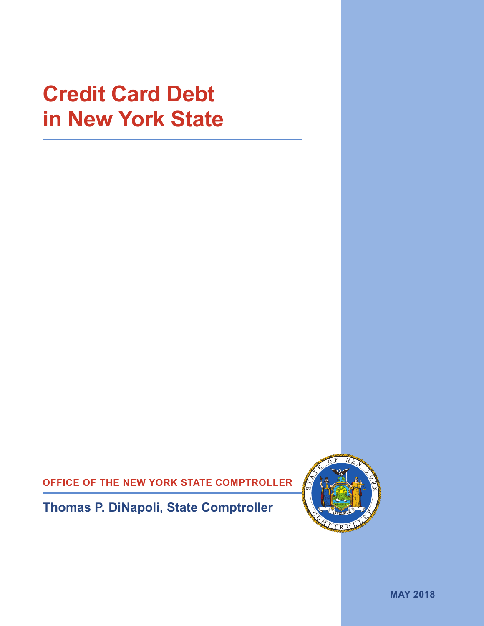# **Credit Card Debt in New York State**

**OFFICE OF THE NEW YORK STATE COMPTROLLER**

**Thomas P. DiNapoli, State Comptroller**



**MAY 2018**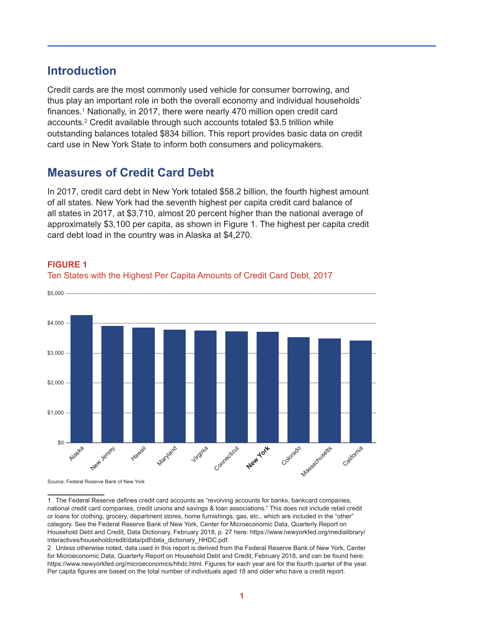## **Introduction**

Credit cards are the most commonly used vehicle for consumer borrowing, and thus play an important role in both the overall economy and individual households' finances.<sup>1</sup> Nationally, in 2017, there were nearly 470 million open credit card accounts.2 Credit available through such accounts totaled \$3.5 trillion while outstanding balances totaled \$834 billion. This report provides basic data on credit card use in New York State to inform both consumers and policymakers.

# **Measures of Credit Card Debt**

In 2017, credit card debt in New York totaled \$58.2 billion, the fourth highest amount of all states. New York had the seventh highest per capita credit card balance of all states in 2017, at \$3,710, almost 20 percent higher than the national average of approximately \$3,100 per capita, as shown in Figure 1. The highest per capita credit card debt load in the country was in Alaska at \$4,270.



## **FIGURE 1**



Source: Federal Reserve Bank of New York

1 The Federal Reserve defines credit card accounts as "revolving accounts for banks, bankcard companies, national credit card companies, credit unions and savings & loan associations." This does not include retail credit or loans for clothing, grocery, department stores, home furnishings, gas, etc., which are included in the "other" category. See the Federal Reserve Bank of New York, Center for Microeconomic Data, Quarterly Report on Household Debt and Credit, Data Dictionary, February 2018, p. 27 here: https://www.newyorkfed.org/medialibrary/ interactives/householdcredit/data/pdf/data\_dictionary\_HHDC.pdf.

2 Unless otherwise noted, data used in this report is derived from the Federal Reserve Bank of New York, Center for Microeconomic Data, Quarterly Report on Household Debt and Credit, February 2018, and can be found here: https://www.newyorkfed.org/microeconomics/hhdc.html. Figures for each year are for the fourth quarter of the year. Per capita figures are based on the total number of individuals aged 18 and older who have a credit report.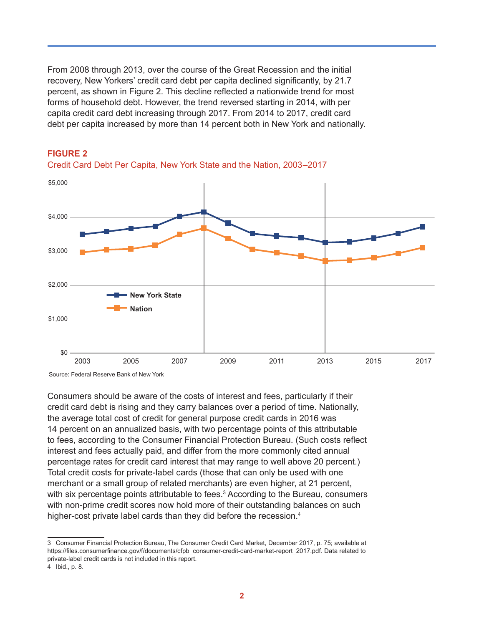From 2008 through 2013, over the course of the Great Recession and the initial recovery, New Yorkers' credit card debt per capita declined significantly, by 21.7 percent, as shown in Figure 2. This decline reflected a nationwide trend for most forms of household debt. However, the trend reversed starting in 2014, with per capita credit card debt increasing through 2017. From 2014 to 2017, credit card debt per capita increased by more than 14 percent both in New York and nationally.

Credit Card Debt Per Capita, New York State and the Nation, 2003–2017



### **FIGURE 2**

Source: Federal Reserve Bank of New York

Consumers should be aware of the costs of interest and fees, particularly if their credit card debt is rising and they carry balances over a period of time. Nationally, the average total cost of credit for general purpose credit cards in 2016 was 14 percent on an annualized basis, with two percentage points of this attributable to fees, according to the Consumer Financial Protection Bureau. (Such costs reflect interest and fees actually paid, and differ from the more commonly cited annual percentage rates for credit card interest that may range to well above 20 percent.) Total credit costs for private-label cards (those that can only be used with one merchant or a small group of related merchants) are even higher, at 21 percent, with six percentage points attributable to fees.<sup>3</sup> According to the Bureau, consumers with non-prime credit scores now hold more of their outstanding balances on such higher-cost private label cards than they did before the recession.<sup>4</sup>

<sup>3</sup> Consumer Financial Protection Bureau, The Consumer Credit Card Market, December 2017, p. 75; available at https://files.consumerfinance.gov/f/documents/cfpb\_consumer-credit-card-market-report\_2017.pdf. Data related to private-label credit cards is not included in this report.

<sup>4</sup> Ibid., p. 8.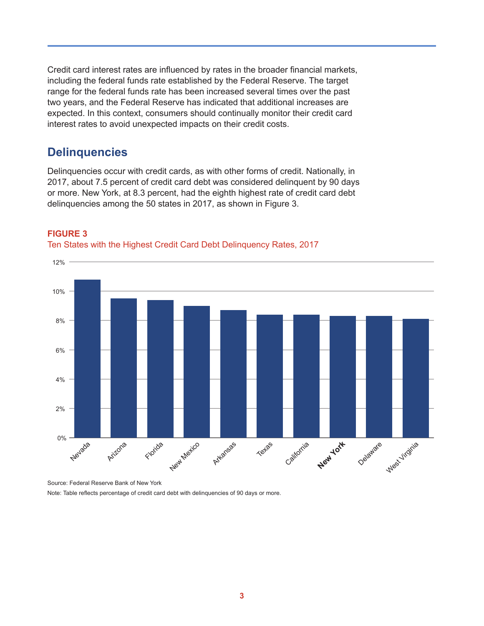Credit card interest rates are influenced by rates in the broader financial markets, including the federal funds rate established by the Federal Reserve. The target range for the federal funds rate has been increased several times over the past two years, and the Federal Reserve has indicated that additional increases are expected. In this context, consumers should continually monitor their credit card interest rates to avoid unexpected impacts on their credit costs.

## **Delinquencies**

**FIGURE 3**

Delinquencies occur with credit cards, as with other forms of credit. Nationally, in 2017, about 7.5 percent of credit card debt was considered delinquent by 90 days or more. New York, at 8.3 percent, had the eighth highest rate of credit card debt delinquencies among the 50 states in 2017, as shown in Figure 3.



## Ten States with the Highest Credit Card Debt Delinquency Rates, 2017

Source: Federal Reserve Bank of New York Note: Table reflects percentage of credit card debt with delinquencies of 90 days or more.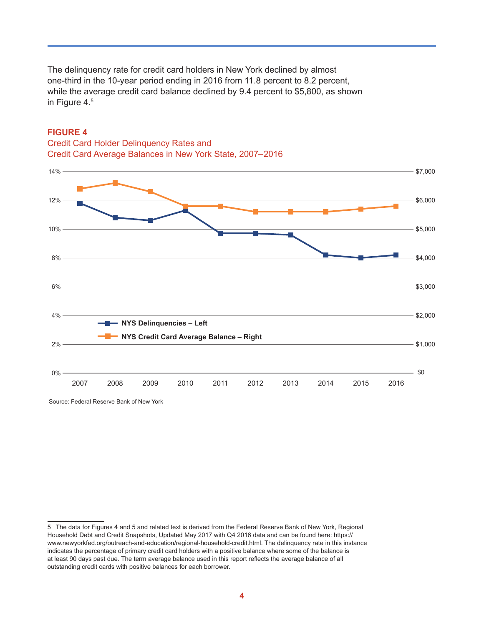The delinquency rate for credit card holders in New York declined by almost one-third in the 10-year period ending in 2016 from 11.8 percent to 8.2 percent, while the average credit card balance declined by 9.4 percent to \$5,800, as shown in Figure 4.5



## **FIGURE 4**

Credit Card Holder Delinquency Rates and Credit Card Average Balances in New York State, 2007-2016

Source: Federal Reserve Bank of New York

<sup>5</sup> The data for Figures 4 and 5 and related text is derived from the Federal Reserve Bank of New York, Regional Household Debt and Credit Snapshots, Updated May 2017 with Q4 2016 data and can be found here: https:// www.newyorkfed.org/outreach-and-education/regional-household-credit.html. The delinquency rate in this instance indicates the percentage of primary credit card holders with a positive balance where some of the balance is at least 90 days past due. The term average balance used in this report reflects the average balance of all outstanding credit cards with positive balances for each borrower.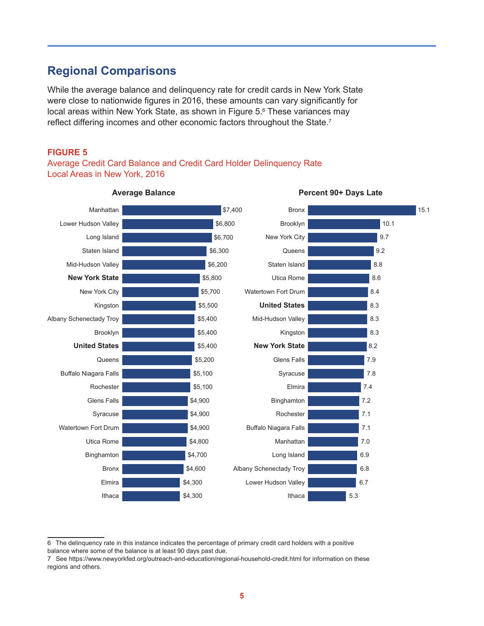# **Regional Comparisons**

While the average balance and delinquency rate for credit cards in New York State were close to nationwide figures in 2016, these amounts can vary significantly for local areas within New York State, as shown in Figure 5.<sup>6</sup> These variances may reflect differing incomes and other economic factors throughout the State.7

## **FIGURE 5**

### Average Credit Card Balance and Credit Card Holder Delinquency Rate Local Areas in New York, 2016

**Average Balance**



#### **Percent 90+ Days Late**

<sup>6</sup> The delinquency rate in this instance indicates the percentage of primary credit card holders with a positive balance where some of the balance is at least 90 days past due.

<sup>7</sup> See https://www.newyorkfed.org/outreach-and-education/regional-household-credit.html for information on these regions and others.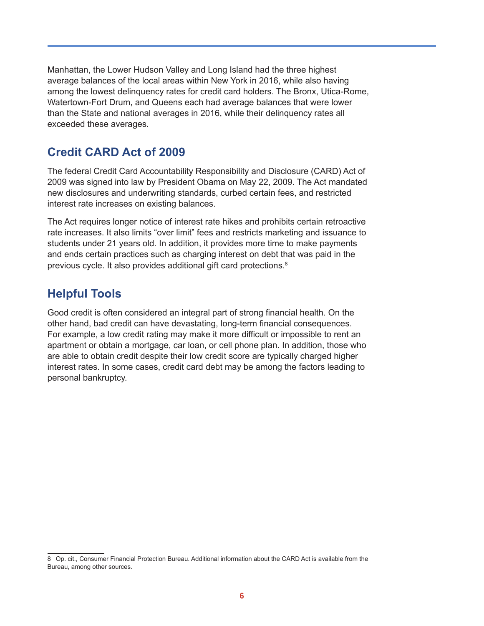Manhattan, the Lower Hudson Valley and Long Island had the three highest average balances of the local areas within New York in 2016, while also having among the lowest delinquency rates for credit card holders. The Bronx, Utica-Rome, Watertown-Fort Drum, and Queens each had average balances that were lower than the State and national averages in 2016, while their delinquency rates all exceeded these averages.

# **Credit CARD Act of 2009**

The federal Credit Card Accountability Responsibility and Disclosure (CARD) Act of 2009 was signed into law by President Obama on May 22, 2009. The Act mandated new disclosures and underwriting standards, curbed certain fees, and restricted interest rate increases on existing balances.

The Act requires longer notice of interest rate hikes and prohibits certain retroactive rate increases. It also limits "over limit" fees and restricts marketing and issuance to students under 21 years old. In addition, it provides more time to make payments and ends certain practices such as charging interest on debt that was paid in the previous cycle. It also provides additional gift card protections.8

# **Helpful Tools**

Good credit is often considered an integral part of strong financial health. On the other hand, bad credit can have devastating, long-term financial consequences. For example, a low credit rating may make it more difficult or impossible to rent an apartment or obtain a mortgage, car loan, or cell phone plan. In addition, those who are able to obtain credit despite their low credit score are typically charged higher interest rates. In some cases, credit card debt may be among the factors leading to personal bankruptcy.

<sup>8</sup> Op. cit., Consumer Financial Protection Bureau. Additional information about the CARD Act is available from the Bureau, among other sources.